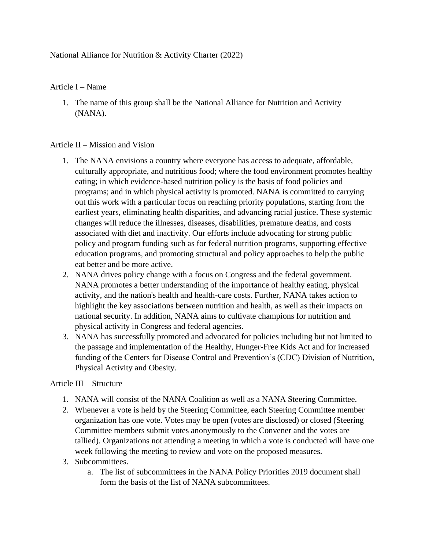## National Alliance for Nutrition & Activity Charter (2022)

## Article I – Name

1. The name of this group shall be the National Alliance for Nutrition and Activity (NANA).

## Article II – Mission and Vision

- 1. The NANA envisions a country where everyone has access to adequate, affordable, culturally appropriate, and nutritious food; where the food environment promotes healthy eating; in which evidence-based nutrition policy is the basis of food policies and programs; and in which physical activity is promoted. NANA is committed to carrying out this work with a particular focus on reaching priority populations, starting from the earliest years, eliminating health disparities, and advancing racial justice. These systemic changes will reduce the illnesses, diseases, disabilities, premature deaths, and costs associated with diet and inactivity. Our efforts include advocating for strong public policy and program funding such as for federal nutrition programs, supporting effective education programs, and promoting structural and policy approaches to help the public eat better and be more active.
- 2. NANA drives policy change with a focus on Congress and the federal government. NANA promotes a better understanding of the importance of healthy eating, physical activity, and the nation's health and health-care costs. Further, NANA takes action to highlight the key associations between nutrition and health, as well as their impacts on national security. In addition, NANA aims to cultivate champions for nutrition and physical activity in Congress and federal agencies.
- 3. NANA has successfully promoted and advocated for policies including but not limited to the passage and implementation of the Healthy, Hunger-Free Kids Act and for increased funding of the Centers for Disease Control and Prevention's (CDC) Division of Nutrition, Physical Activity and Obesity.

## Article III – Structure

- 1. NANA will consist of the NANA Coalition as well as a NANA Steering Committee.
- 2. Whenever a vote is held by the Steering Committee, each Steering Committee member organization has one vote. Votes may be open (votes are disclosed) or closed (Steering Committee members submit votes anonymously to the Convener and the votes are tallied). Organizations not attending a meeting in which a vote is conducted will have one week following the meeting to review and vote on the proposed measures.
- 3. Subcommittees.
	- a. The list of subcommittees in the NANA Policy Priorities 2019 document shall form the basis of the list of NANA subcommittees.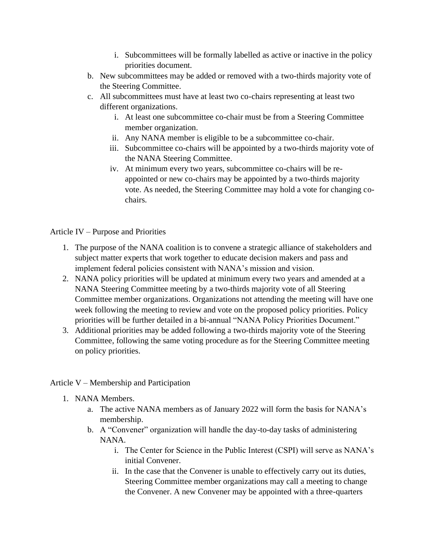- i. Subcommittees will be formally labelled as active or inactive in the policy priorities document.
- b. New subcommittees may be added or removed with a two-thirds majority vote of the Steering Committee.
- c. All subcommittees must have at least two co-chairs representing at least two different organizations.
	- i. At least one subcommittee co-chair must be from a Steering Committee member organization.
	- ii. Any NANA member is eligible to be a subcommittee co-chair.
	- iii. Subcommittee co-chairs will be appointed by a two-thirds majority vote of the NANA Steering Committee.
	- iv. At minimum every two years, subcommittee co-chairs will be reappointed or new co-chairs may be appointed by a two-thirds majority vote. As needed, the Steering Committee may hold a vote for changing cochairs.

Article IV – Purpose and Priorities

- 1. The purpose of the NANA coalition is to convene a strategic alliance of stakeholders and subject matter experts that work together to educate decision makers and pass and implement federal policies consistent with NANA's mission and vision.
- 2. NANA policy priorities will be updated at minimum every two years and amended at a NANA Steering Committee meeting by a two-thirds majority vote of all Steering Committee member organizations. Organizations not attending the meeting will have one week following the meeting to review and vote on the proposed policy priorities. Policy priorities will be further detailed in a bi-annual "NANA Policy Priorities Document."
- 3. Additional priorities may be added following a two-thirds majority vote of the Steering Committee, following the same voting procedure as for the Steering Committee meeting on policy priorities.
- Article V Membership and Participation
	- 1. NANA Members.
		- a. The active NANA members as of January 2022 will form the basis for NANA's membership.
		- b. A "Convener" organization will handle the day-to-day tasks of administering NANA.
			- i. The Center for Science in the Public Interest (CSPI) will serve as NANA's initial Convener.
			- ii. In the case that the Convener is unable to effectively carry out its duties, Steering Committee member organizations may call a meeting to change the Convener. A new Convener may be appointed with a three-quarters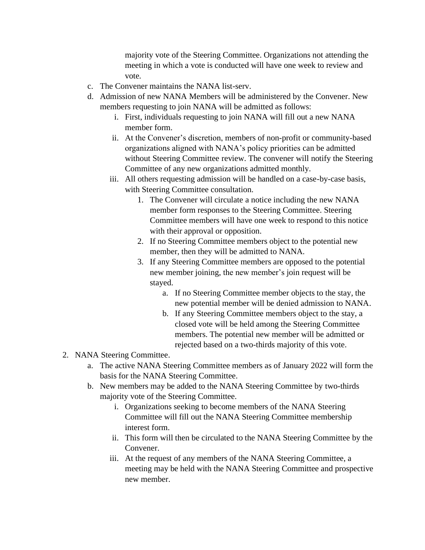majority vote of the Steering Committee. Organizations not attending the meeting in which a vote is conducted will have one week to review and vote*.*

- c. The Convener maintains the NANA list-serv.
- d. Admission of new NANA Members will be administered by the Convener. New members requesting to join NANA will be admitted as follows:
	- i. First, individuals requesting to join NANA will fill out a new NANA member form.
	- ii. At the Convener's discretion, members of non-profit or community-based organizations aligned with NANA's policy priorities can be admitted without Steering Committee review. The convener will notify the Steering Committee of any new organizations admitted monthly.
	- iii. All others requesting admission will be handled on a case-by-case basis, with Steering Committee consultation.
		- 1. The Convener will circulate a notice including the new NANA member form responses to the Steering Committee. Steering Committee members will have one week to respond to this notice with their approval or opposition.
		- 2. If no Steering Committee members object to the potential new member, then they will be admitted to NANA.
		- 3. If any Steering Committee members are opposed to the potential new member joining, the new member's join request will be stayed.
			- a. If no Steering Committee member objects to the stay, the new potential member will be denied admission to NANA.
			- b. If any Steering Committee members object to the stay, a closed vote will be held among the Steering Committee members. The potential new member will be admitted or rejected based on a two-thirds majority of this vote.
- 2. NANA Steering Committee.
	- a. The active NANA Steering Committee members as of January 2022 will form the basis for the NANA Steering Committee.
	- b. New members may be added to the NANA Steering Committee by two-thirds majority vote of the Steering Committee.
		- i. Organizations seeking to become members of the NANA Steering Committee will fill out the NANA Steering Committee membership interest form.
		- ii. This form will then be circulated to the NANA Steering Committee by the Convener.
		- iii. At the request of any members of the NANA Steering Committee, a meeting may be held with the NANA Steering Committee and prospective new member.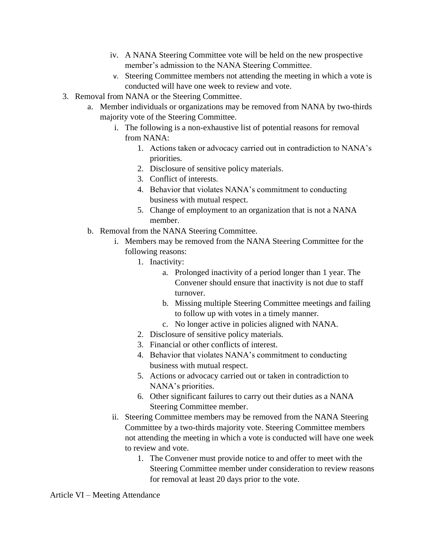- iv. A NANA Steering Committee vote will be held on the new prospective member's admission to the NANA Steering Committee.
- v. Steering Committee members not attending the meeting in which a vote is conducted will have one week to review and vote.
- 3. Removal from NANA or the Steering Committee.
	- a. Member individuals or organizations may be removed from NANA by two-thirds majority vote of the Steering Committee.
		- i. The following is a non-exhaustive list of potential reasons for removal from NANA:
			- 1. Actions taken or advocacy carried out in contradiction to NANA's priorities.
			- 2. Disclosure of sensitive policy materials.
			- 3. Conflict of interests.
			- 4. Behavior that violates NANA's commitment to conducting business with mutual respect.
			- 5. Change of employment to an organization that is not a NANA member.
	- b. Removal from the NANA Steering Committee.
		- i. Members may be removed from the NANA Steering Committee for the following reasons:
			- 1. Inactivity:
				- a. Prolonged inactivity of a period longer than 1 year. The Convener should ensure that inactivity is not due to staff turnover.
				- b. Missing multiple Steering Committee meetings and failing to follow up with votes in a timely manner.
				- c. No longer active in policies aligned with NANA.
			- 2. Disclosure of sensitive policy materials.
			- 3. Financial or other conflicts of interest.
			- 4. Behavior that violates NANA's commitment to conducting business with mutual respect.
			- 5. Actions or advocacy carried out or taken in contradiction to NANA's priorities.
			- 6. Other significant failures to carry out their duties as a NANA Steering Committee member.
		- ii. Steering Committee members may be removed from the NANA Steering Committee by a two-thirds majority vote. Steering Committee members not attending the meeting in which a vote is conducted will have one week to review and vote.
			- 1. The Convener must provide notice to and offer to meet with the Steering Committee member under consideration to review reasons for removal at least 20 days prior to the vote.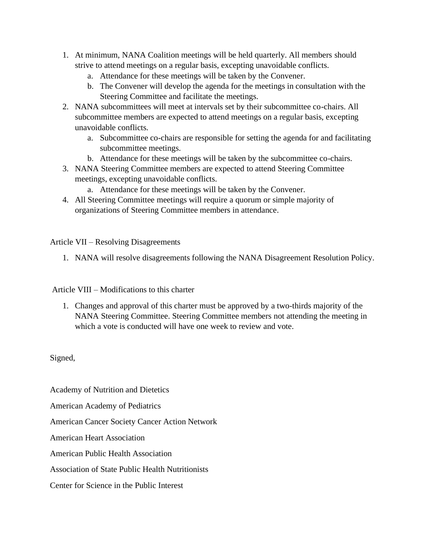- 1. At minimum, NANA Coalition meetings will be held quarterly. All members should strive to attend meetings on a regular basis, excepting unavoidable conflicts.
	- a. Attendance for these meetings will be taken by the Convener.
	- b. The Convener will develop the agenda for the meetings in consultation with the Steering Committee and facilitate the meetings.
- 2. NANA subcommittees will meet at intervals set by their subcommittee co-chairs. All subcommittee members are expected to attend meetings on a regular basis, excepting unavoidable conflicts.
	- a. Subcommittee co-chairs are responsible for setting the agenda for and facilitating subcommittee meetings.
	- b. Attendance for these meetings will be taken by the subcommittee co-chairs.
- 3. NANA Steering Committee members are expected to attend Steering Committee meetings, excepting unavoidable conflicts.
	- a. Attendance for these meetings will be taken by the Convener.
- 4. All Steering Committee meetings will require a quorum or simple majority of organizations of Steering Committee members in attendance.

Article VII – Resolving Disagreements

1. NANA will resolve disagreements following the NANA Disagreement Resolution Policy.

Article VIII – Modifications to this charter

1. Changes and approval of this charter must be approved by a two-thirds majority of the NANA Steering Committee. Steering Committee members not attending the meeting in which a vote is conducted will have one week to review and vote.

Signed,

Academy of Nutrition and Dietetics

American Academy of Pediatrics

American Cancer Society Cancer Action Network

American Heart Association

American Public Health Association

Association of State Public Health Nutritionists

Center for Science in the Public Interest